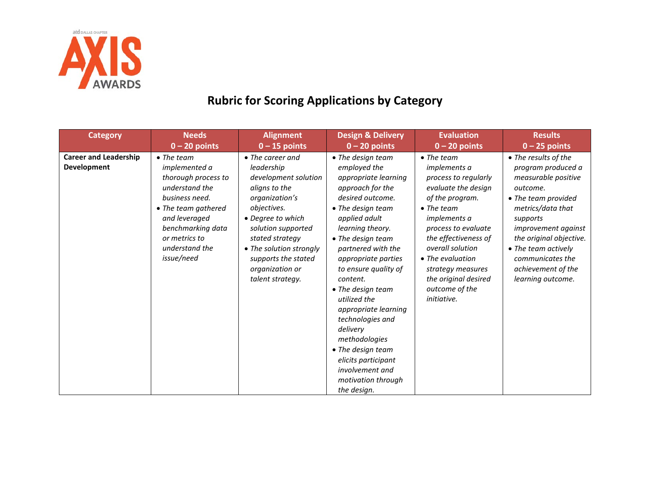

## **Rubric for Scoring Applications by Category**

| <b>Category</b>                                    | <b>Needs</b>                                                                                                                                                                                                        | <b>Alignment</b>                                                                                                                                                                                                                                                        | <b>Design &amp; Delivery</b>                                                                                                                                                                                                                                                                                                                                                                                                                                                        | <b>Evaluation</b>                                                                                                                                                                                                                                                                                                                    | <b>Results</b>                                                                                                                                                                                                                                                                       |
|----------------------------------------------------|---------------------------------------------------------------------------------------------------------------------------------------------------------------------------------------------------------------------|-------------------------------------------------------------------------------------------------------------------------------------------------------------------------------------------------------------------------------------------------------------------------|-------------------------------------------------------------------------------------------------------------------------------------------------------------------------------------------------------------------------------------------------------------------------------------------------------------------------------------------------------------------------------------------------------------------------------------------------------------------------------------|--------------------------------------------------------------------------------------------------------------------------------------------------------------------------------------------------------------------------------------------------------------------------------------------------------------------------------------|--------------------------------------------------------------------------------------------------------------------------------------------------------------------------------------------------------------------------------------------------------------------------------------|
|                                                    | $0 - 20$ points                                                                                                                                                                                                     | $0 - 15$ points                                                                                                                                                                                                                                                         | $0 - 20$ points                                                                                                                                                                                                                                                                                                                                                                                                                                                                     | $0 - 20$ points                                                                                                                                                                                                                                                                                                                      | $0 - 25$ points                                                                                                                                                                                                                                                                      |
| <b>Career and Leadership</b><br><b>Development</b> | $\bullet$ The team<br><i>implemented a</i><br>thorough process to<br>understand the<br>business need.<br>• The team gathered<br>and leveraged<br>benchmarking data<br>or metrics to<br>understand the<br>issue/need | $\bullet$ The career and<br>leadership<br>development solution<br>aligns to the<br>organization's<br>objectives.<br>• Degree to which<br>solution supported<br>stated strategy<br>• The solution strongly<br>supports the stated<br>organization or<br>talent strategy. | • The design team<br>employed the<br>appropriate learning<br>approach for the<br>desired outcome.<br>• The design team<br>applied adult<br>learning theory.<br>• The design team<br>partnered with the<br>appropriate parties<br>to ensure quality of<br>content.<br>• The design team<br>utilized the<br>appropriate learning<br>technologies and<br>delivery<br>methodologies<br>• The design team<br>elicits participant<br>involvement and<br>motivation through<br>the design. | $\bullet$ The team<br><i>implements a</i><br>process to regularly<br>evaluate the design<br>of the program.<br>$\bullet$ The team<br><i>implements a</i><br>process to evaluate<br>the effectiveness of<br>overall solution<br>• The evaluation<br>strategy measures<br>the original desired<br>outcome of the<br><i>initiative.</i> | • The results of the<br>program produced a<br>measurable positive<br>outcome.<br>• The team provided<br>metrics/data that<br>supports<br><i>improvement against</i><br>the original objective.<br>• The team actively<br>communicates the<br>achievement of the<br>learning outcome. |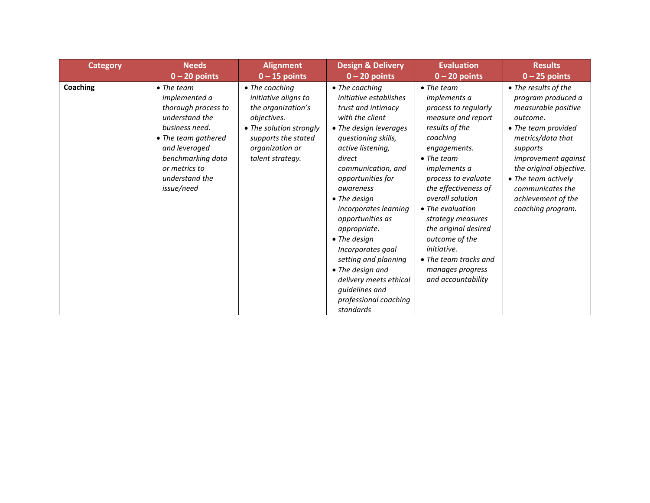| <b>Category</b> | <b>Needs</b>                                                                                                                                                                                                        | <b>Alignment</b>                                                                                                                                                     | <b>Design &amp; Delivery</b>                                                                                                                                                                                                                                                                                                                                                                                                                                                              | <b>Evaluation</b>                                                                                                                                                                                                                                                                                                                                                                                                                         | <b>Results</b>                                                                                                                                                                                                                                                                |
|-----------------|---------------------------------------------------------------------------------------------------------------------------------------------------------------------------------------------------------------------|----------------------------------------------------------------------------------------------------------------------------------------------------------------------|-------------------------------------------------------------------------------------------------------------------------------------------------------------------------------------------------------------------------------------------------------------------------------------------------------------------------------------------------------------------------------------------------------------------------------------------------------------------------------------------|-------------------------------------------------------------------------------------------------------------------------------------------------------------------------------------------------------------------------------------------------------------------------------------------------------------------------------------------------------------------------------------------------------------------------------------------|-------------------------------------------------------------------------------------------------------------------------------------------------------------------------------------------------------------------------------------------------------------------------------|
|                 | $0 - 20$ points                                                                                                                                                                                                     | $0 - 15$ points                                                                                                                                                      | $0 - 20$ points                                                                                                                                                                                                                                                                                                                                                                                                                                                                           | $0 - 20$ points                                                                                                                                                                                                                                                                                                                                                                                                                           | $0 - 25$ points                                                                                                                                                                                                                                                               |
| Coaching        | $\bullet$ The team<br><i>implemented a</i><br>thorough process to<br>understand the<br>business need.<br>• The team gathered<br>and leveraged<br>benchmarking data<br>or metrics to<br>understand the<br>issue/need | • The coaching<br>initiative aligns to<br>the organization's<br>objectives.<br>• The solution strongly<br>supports the stated<br>organization or<br>talent strategy. | • The coaching<br>initiative establishes<br>trust and intimacy<br>with the client<br>• The design leverages<br>questioning skills,<br>active listening,<br>direct<br>communication, and<br>opportunities for<br>awareness<br>$\bullet$ The design<br>incorporates learning<br>opportunities as<br>appropriate.<br>$\bullet$ The design<br>Incorporates goal<br>setting and planning<br>• The design and<br>delivery meets ethical<br>guidelines and<br>professional coaching<br>standards | $\bullet$ The team<br><i>implements a</i><br>process to regularly<br>measure and report<br>results of the<br>coaching<br>engagements.<br>$\bullet$ The team<br><i>implements a</i><br>process to evaluate<br>the effectiveness of<br>overall solution<br>• The evaluation<br>strategy measures<br>the original desired<br>outcome of the<br><i>initiative.</i><br>$\bullet$ The team tracks and<br>manages progress<br>and accountability | • The results of the<br>program produced a<br>measurable positive<br>outcome.<br>• The team provided<br>metrics/data that<br>supports<br>improvement against<br>the original objective.<br>• The team actively<br>communicates the<br>achievement of the<br>coaching program. |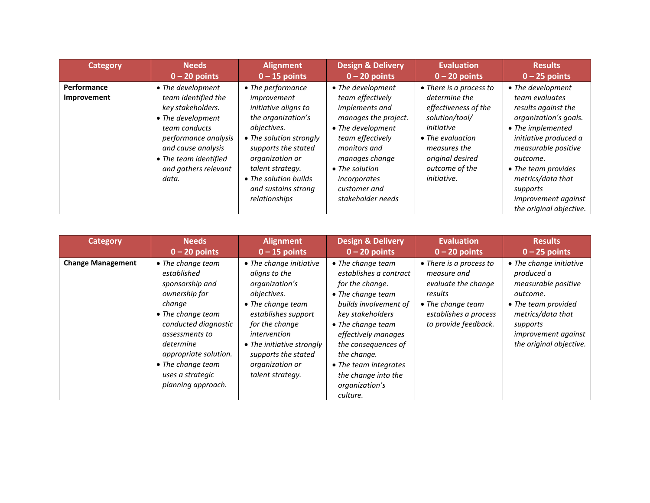| <b>Category</b>            | <b>Needs</b>                                                                                                                                                                                                | <b>Alignment</b>                                                                                                                                                                                                                                               | <b>Design &amp; Delivery</b>                                                                                                                                                                                                              | <b>Evaluation</b>                                                                                                                                                                                        | <b>Results</b>                                                                                                                                                                                                                                                                        |
|----------------------------|-------------------------------------------------------------------------------------------------------------------------------------------------------------------------------------------------------------|----------------------------------------------------------------------------------------------------------------------------------------------------------------------------------------------------------------------------------------------------------------|-------------------------------------------------------------------------------------------------------------------------------------------------------------------------------------------------------------------------------------------|----------------------------------------------------------------------------------------------------------------------------------------------------------------------------------------------------------|---------------------------------------------------------------------------------------------------------------------------------------------------------------------------------------------------------------------------------------------------------------------------------------|
|                            | $0 - 20$ points                                                                                                                                                                                             | $0 - 15$ points                                                                                                                                                                                                                                                | $0 - 20$ points                                                                                                                                                                                                                           | $0 - 20$ points                                                                                                                                                                                          | $0 - 25$ points                                                                                                                                                                                                                                                                       |
| Performance<br>Improvement | • The development<br>team identified the<br>key stakeholders.<br>• The development<br>team conducts<br>performance analysis<br>and cause analysis<br>• The team identified<br>and gathers relevant<br>data. | • The performance<br>improvement<br><i>initiative aligns to</i><br>the organization's<br>objectives.<br>• The solution strongly<br>supports the stated<br>organization or<br>talent strategy.<br>• The solution builds<br>and sustains strong<br>relationships | • The development<br>team effectively<br>implements and<br>manages the project.<br>• The development<br>team effectively<br>monitors and<br>manages change<br>$\bullet$ The solution<br>incorporates<br>customer and<br>stakeholder needs | • There is a process to<br>determine the<br>effectiveness of the<br>solution/tool/<br>initiative<br>$\bullet$ The evaluation<br>measures the<br>original desired<br>outcome of the<br><i>initiative.</i> | • The development<br>team evaluates<br>results against the<br>organization's goals.<br>• The implemented<br>initiative produced a<br>measurable positive<br>outcome.<br>• The team provides<br>metrics/data that<br>supports<br><i>improvement against</i><br>the original objective. |

| Category                 | <b>Needs</b>                                                                                                                                                                                                                                       | <b>Alignment</b>                                                                                                                                                                                                                                   | <b>Design &amp; Delivery</b>                                                                                                                                                                                                                                                                     | <b>Evaluation</b>                                                                                                                              | <b>Results</b>                                                                                                                                                                            |
|--------------------------|----------------------------------------------------------------------------------------------------------------------------------------------------------------------------------------------------------------------------------------------------|----------------------------------------------------------------------------------------------------------------------------------------------------------------------------------------------------------------------------------------------------|--------------------------------------------------------------------------------------------------------------------------------------------------------------------------------------------------------------------------------------------------------------------------------------------------|------------------------------------------------------------------------------------------------------------------------------------------------|-------------------------------------------------------------------------------------------------------------------------------------------------------------------------------------------|
|                          | $0 - 20$ points                                                                                                                                                                                                                                    | $0 - 15$ points                                                                                                                                                                                                                                    | $0 - 20$ points                                                                                                                                                                                                                                                                                  | $0 - 20$ points                                                                                                                                | $0 - 25$ points                                                                                                                                                                           |
| <b>Change Management</b> | • The change team<br>established<br>sponsorship and<br>ownership for<br>change<br>• The change team<br>conducted diagnostic<br>assessments to<br>determine<br>appropriate solution.<br>• The change team<br>uses a strategic<br>planning approach. | • The change initiative<br>aligns to the<br>organization's<br>objectives.<br>• The change team<br>establishes support<br>for the change<br>intervention<br>• The initiative strongly<br>supports the stated<br>organization or<br>talent strategy. | • The change team<br>establishes a contract<br>for the change.<br>• The change team<br>builds involvement of<br>key stakeholders<br>• The change team<br>effectively manages<br>the consequences of<br>the change.<br>• The team integrates<br>the change into the<br>organization's<br>culture. | • There is a process to<br>measure and<br>evaluate the change<br>results<br>• The change team<br>establishes a process<br>to provide feedback. | • The change initiative<br>produced a<br>measurable positive<br>outcome.<br>• The team provided<br>metrics/data that<br>supports<br><i>improvement against</i><br>the original objective. |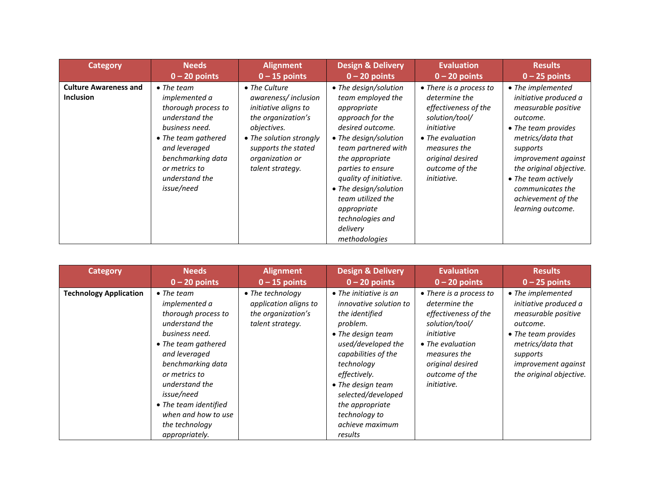| <b>Category</b>                                  | <b>Needs</b>                                                                                                                                                                                                         | <b>Alignment</b>                                                                                                                                                                           | <b>Design &amp; Delivery</b>                                                                                                                                                                                                                                                                                                      | <b>Evaluation</b>                                                                                                                                                                                | <b>Results</b>                                                                                                                                                                                                                                                                       |
|--------------------------------------------------|----------------------------------------------------------------------------------------------------------------------------------------------------------------------------------------------------------------------|--------------------------------------------------------------------------------------------------------------------------------------------------------------------------------------------|-----------------------------------------------------------------------------------------------------------------------------------------------------------------------------------------------------------------------------------------------------------------------------------------------------------------------------------|--------------------------------------------------------------------------------------------------------------------------------------------------------------------------------------------------|--------------------------------------------------------------------------------------------------------------------------------------------------------------------------------------------------------------------------------------------------------------------------------------|
|                                                  | $0 - 20$ points                                                                                                                                                                                                      | $0 - 15$ points                                                                                                                                                                            | $0 - 20$ points                                                                                                                                                                                                                                                                                                                   | $0 - 20$ points                                                                                                                                                                                  | $0 - 25$ points                                                                                                                                                                                                                                                                      |
| <b>Culture Awareness and</b><br><b>Inclusion</b> | $\bullet$ The team<br>implemented a<br>thorough process to<br>understand the<br>business need.<br>$\bullet$ The team gathered<br>and leveraged<br>benchmarking data<br>or metrics to<br>understand the<br>issue/need | • The Culture<br>awareness/inclusion<br>initiative aligns to<br>the organization's<br>objectives.<br>• The solution strongly<br>supports the stated<br>organization or<br>talent strategy. | • The design/solution<br>team employed the<br>appropriate<br>approach for the<br>desired outcome.<br>• The design/solution<br>team partnered with<br>the appropriate<br>parties to ensure<br>quality of initiative.<br>• The design/solution<br>team utilized the<br>appropriate<br>technologies and<br>delivery<br>methodologies | • There is a process to<br>determine the<br>effectiveness of the<br>solution/tool/<br>initiative<br>• The evaluation<br>measures the<br>original desired<br>outcome of the<br><i>initiative.</i> | • The implemented<br>initiative produced a<br>measurable positive<br>outcome.<br>• The team provides<br>metrics/data that<br>supports<br><i>improvement against</i><br>the original objective.<br>• The team actively<br>communicates the<br>achievement of the<br>learning outcome. |

| <b>Category</b>               | <b>Needs</b>                                                                                                                                                                                                                                                                                            | <b>Alignment</b>                                                                    | <b>Design &amp; Delivery</b>                                                                                                                                                                                                                                                                                | <b>Evaluation</b>                                                                                                                                                                                | <b>Results</b>                                                                                                                                                                                 |
|-------------------------------|---------------------------------------------------------------------------------------------------------------------------------------------------------------------------------------------------------------------------------------------------------------------------------------------------------|-------------------------------------------------------------------------------------|-------------------------------------------------------------------------------------------------------------------------------------------------------------------------------------------------------------------------------------------------------------------------------------------------------------|--------------------------------------------------------------------------------------------------------------------------------------------------------------------------------------------------|------------------------------------------------------------------------------------------------------------------------------------------------------------------------------------------------|
|                               | $0 - 20$ points                                                                                                                                                                                                                                                                                         | $0 - 15$ points                                                                     | $0 - 20$ points                                                                                                                                                                                                                                                                                             | $0 - 20$ points                                                                                                                                                                                  | $0 - 25$ points                                                                                                                                                                                |
| <b>Technology Application</b> | $\bullet$ The team<br><i>implemented a</i><br>thorough process to<br>understand the<br>business need.<br>• The team gathered<br>and leveraged<br>benchmarking data<br>or metrics to<br>understand the<br>issue/need<br>• The team identified<br>when and how to use<br>the technology<br>appropriately. | • The technology<br>application aligns to<br>the organization's<br>talent strategy. | $\bullet$ The initiative is an<br>innovative solution to<br>the identified<br>problem.<br>$\bullet$ The design team<br>used/developed the<br>capabilities of the<br>technology<br>effectively.<br>• The design team<br>selected/developed<br>the appropriate<br>technology to<br>achieve maximum<br>results | • There is a process to<br>determine the<br>effectiveness of the<br>solution/tool/<br>initiative<br>• The evaluation<br>measures the<br>original desired<br>outcome of the<br><i>initiative.</i> | • The implemented<br>initiative produced a<br>measurable positive<br>outcome.<br>• The team provides<br>metrics/data that<br>supports<br><i>improvement against</i><br>the original objective. |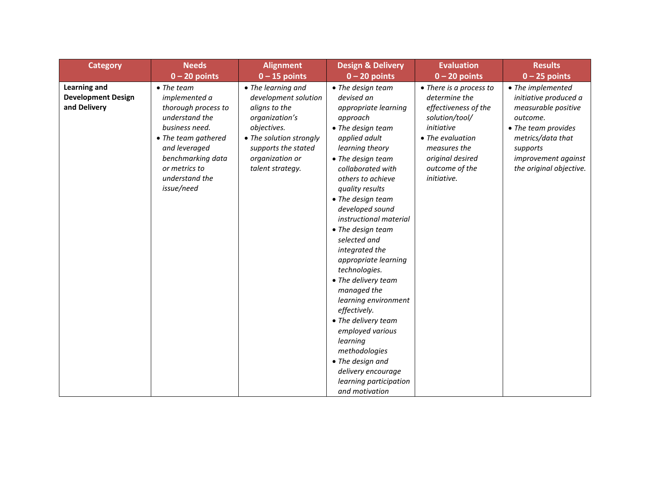| <b>Category</b>                                           | <b>Needs</b>                                                                                                                                                                                                        | <b>Alignment</b>                                                                                                                                                                      | <b>Design &amp; Delivery</b>                                                                                                                                                                                                                                                                                                                                                                                                                                                                                                                                                                                                 | <b>Evaluation</b>                                                                                                                                                                         | <b>Results</b>                                                                                                                                                                          |
|-----------------------------------------------------------|---------------------------------------------------------------------------------------------------------------------------------------------------------------------------------------------------------------------|---------------------------------------------------------------------------------------------------------------------------------------------------------------------------------------|------------------------------------------------------------------------------------------------------------------------------------------------------------------------------------------------------------------------------------------------------------------------------------------------------------------------------------------------------------------------------------------------------------------------------------------------------------------------------------------------------------------------------------------------------------------------------------------------------------------------------|-------------------------------------------------------------------------------------------------------------------------------------------------------------------------------------------|-----------------------------------------------------------------------------------------------------------------------------------------------------------------------------------------|
|                                                           | $0 - 20$ points                                                                                                                                                                                                     | $0 - 15$ points                                                                                                                                                                       | $0 - 20$ points                                                                                                                                                                                                                                                                                                                                                                                                                                                                                                                                                                                                              | $0 - 20$ points                                                                                                                                                                           | $0 - 25$ points                                                                                                                                                                         |
| Learning and<br><b>Development Design</b><br>and Delivery | $\bullet$ The team<br><i>implemented a</i><br>thorough process to<br>understand the<br>business need.<br>• The team gathered<br>and leveraged<br>benchmarking data<br>or metrics to<br>understand the<br>issue/need | • The learning and<br>development solution<br>aligns to the<br>organization's<br>objectives.<br>• The solution strongly<br>supports the stated<br>organization or<br>talent strategy. | • The design team<br>devised an<br>appropriate learning<br>approach<br>• The design team<br>applied adult<br>learning theory<br>• The design team<br>collaborated with<br>others to achieve<br>quality results<br>• The design team<br>developed sound<br>instructional material<br>• The design team<br>selected and<br>integrated the<br>appropriate learning<br>technologies.<br>• The delivery team<br>managed the<br>learning environment<br>effectively.<br>• The delivery team<br>employed various<br>learning<br>methodologies<br>• The design and<br>delivery encourage<br>learning participation<br>and motivation | • There is a process to<br>determine the<br>effectiveness of the<br>solution/tool/<br>initiative<br>• The evaluation<br>measures the<br>original desired<br>outcome of the<br>initiative. | • The implemented<br>initiative produced a<br>measurable positive<br>outcome.<br>• The team provides<br>metrics/data that<br>supports<br>improvement against<br>the original objective. |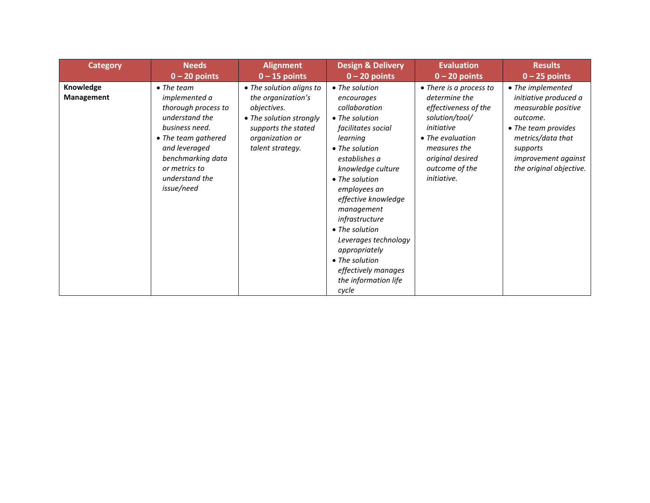| <b>Category</b>                | <b>Needs</b>                                                                                                                                                                                                        | <b>Alignment</b>                                                                                                                                       | <b>Design &amp; Delivery</b>                                                                                                                                                                                                                                                                                                                                                                    | <b>Evaluation</b>                                                                                                                                                                         | <b>Results</b>                                                                                                                                                                          |
|--------------------------------|---------------------------------------------------------------------------------------------------------------------------------------------------------------------------------------------------------------------|--------------------------------------------------------------------------------------------------------------------------------------------------------|-------------------------------------------------------------------------------------------------------------------------------------------------------------------------------------------------------------------------------------------------------------------------------------------------------------------------------------------------------------------------------------------------|-------------------------------------------------------------------------------------------------------------------------------------------------------------------------------------------|-----------------------------------------------------------------------------------------------------------------------------------------------------------------------------------------|
|                                | $0 - 20$ points                                                                                                                                                                                                     | $0 - 15$ points                                                                                                                                        | $0 - 20$ points                                                                                                                                                                                                                                                                                                                                                                                 | $0 - 20$ points                                                                                                                                                                           | $0 - 25$ points                                                                                                                                                                         |
| Knowledge<br><b>Management</b> | $\bullet$ The team<br><i>implemented a</i><br>thorough process to<br>understand the<br>business need.<br>• The team gathered<br>and leveraged<br>benchmarking data<br>or metrics to<br>understand the<br>issue/need | • The solution aligns to<br>the organization's<br>objectives.<br>• The solution strongly<br>supports the stated<br>organization or<br>talent strategy. | • The solution<br>encourages<br>collaboration<br>• The solution<br>facilitates social<br>learning<br>$\bullet$ The solution<br>establishes a<br>knowledge culture<br>• The solution<br>employees an<br>effective knowledge<br>management<br>infrastructure<br>• The solution<br>Leverages technology<br>appropriately<br>• The solution<br>effectively manages<br>the information life<br>cycle | • There is a process to<br>determine the<br>effectiveness of the<br>solution/tool/<br>initiative<br>• The evaluation<br>measures the<br>original desired<br>outcome of the<br>initiative. | • The implemented<br>initiative produced a<br>measurable positive<br>outcome.<br>• The team provides<br>metrics/data that<br>supports<br>improvement against<br>the original objective. |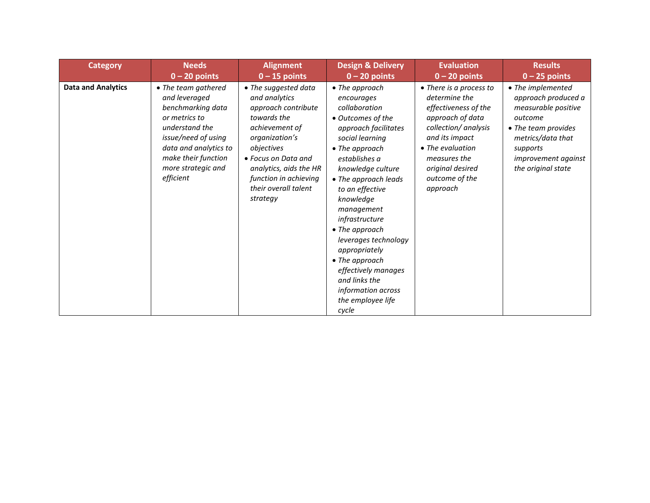| <b>Category</b>           | <b>Needs</b>                                                                                                                                                                                           | <b>Alignment</b>                                                                                                                                                                                                                            | <b>Design &amp; Delivery</b>                                                                                                                                                                                                                                                                                                                                                                                                           | <b>Evaluation</b>                                                                                                                                                                                                    | <b>Results</b>                                                                                                                                                                         |
|---------------------------|--------------------------------------------------------------------------------------------------------------------------------------------------------------------------------------------------------|---------------------------------------------------------------------------------------------------------------------------------------------------------------------------------------------------------------------------------------------|----------------------------------------------------------------------------------------------------------------------------------------------------------------------------------------------------------------------------------------------------------------------------------------------------------------------------------------------------------------------------------------------------------------------------------------|----------------------------------------------------------------------------------------------------------------------------------------------------------------------------------------------------------------------|----------------------------------------------------------------------------------------------------------------------------------------------------------------------------------------|
|                           | $0 - 20$ points                                                                                                                                                                                        | $0 - 15$ points                                                                                                                                                                                                                             | $0 - 20$ points                                                                                                                                                                                                                                                                                                                                                                                                                        | $0 - 20$ points                                                                                                                                                                                                      | $0 - 25$ points                                                                                                                                                                        |
| <b>Data and Analytics</b> | • The team gathered<br>and leveraged<br>benchmarking data<br>or metrics to<br>understand the<br>issue/need of using<br>data and analytics to<br>make their function<br>more strategic and<br>efficient | • The suggested data<br>and analytics<br>approach contribute<br>towards the<br>achievement of<br>organization's<br>objectives<br>• Focus on Data and<br>analytics, aids the HR<br>function in achieving<br>their overall talent<br>strategy | • The approach<br>encourages<br>collaboration<br>• Outcomes of the<br>approach facilitates<br>social learning<br>• The approach<br>establishes a<br>knowledge culture<br>• The approach leads<br>to an effective<br>knowledge<br>management<br>infrastructure<br>• The approach<br>leverages technology<br>appropriately<br>• The approach<br>effectively manages<br>and links the<br>information across<br>the employee life<br>cycle | • There is a process to<br>determine the<br>effectiveness of the<br>approach of data<br>collection/ analysis<br>and its impact<br>• The evaluation<br>measures the<br>original desired<br>outcome of the<br>approach | • The implemented<br>approach produced a<br>measurable positive<br>outcome<br>• The team provides<br>metrics/data that<br>supports<br><i>improvement against</i><br>the original state |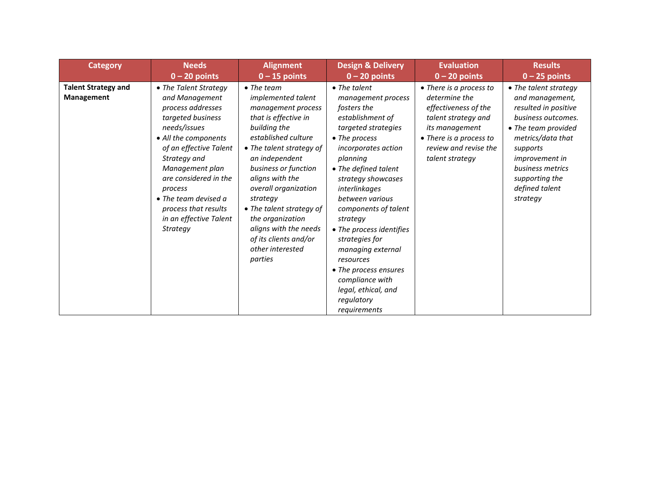| <b>Category</b>                          | <b>Needs</b>                                                                                                                                                                                                                                                                                                             | <b>Alignment</b>                                                                                                                                                                                                                                                                                                                                                                            | <b>Design &amp; Delivery</b>                                                                                                                                                                                                                                                                                                                                                                                                                                    | <b>Evaluation</b>                                                                                                                                                                | <b>Results</b>                                                                                                                                                                                                                              |
|------------------------------------------|--------------------------------------------------------------------------------------------------------------------------------------------------------------------------------------------------------------------------------------------------------------------------------------------------------------------------|---------------------------------------------------------------------------------------------------------------------------------------------------------------------------------------------------------------------------------------------------------------------------------------------------------------------------------------------------------------------------------------------|-----------------------------------------------------------------------------------------------------------------------------------------------------------------------------------------------------------------------------------------------------------------------------------------------------------------------------------------------------------------------------------------------------------------------------------------------------------------|----------------------------------------------------------------------------------------------------------------------------------------------------------------------------------|---------------------------------------------------------------------------------------------------------------------------------------------------------------------------------------------------------------------------------------------|
|                                          | $0 - 20$ points                                                                                                                                                                                                                                                                                                          | $0 - 15$ points                                                                                                                                                                                                                                                                                                                                                                             | $0 - 20$ points                                                                                                                                                                                                                                                                                                                                                                                                                                                 | $0 - 20$ points                                                                                                                                                                  | $0 - 25$ points                                                                                                                                                                                                                             |
| <b>Talent Strategy and</b><br>Management | • The Talent Strategy<br>and Management<br>process addresses<br>targeted business<br>needs/issues<br>• All the components<br>of an effective Talent<br>Strategy and<br>Management plan<br>are considered in the<br>process<br>$\bullet$ The team devised a<br>process that results<br>in an effective Talent<br>Strategy | $\bullet$ The team<br>implemented talent<br>management process<br>that is effective in<br>building the<br>established culture<br>• The talent strategy of<br>an independent<br>business or function<br>aligns with the<br>overall organization<br>strategy<br>• The talent strategy of<br>the organization<br>aligns with the needs<br>of its clients and/or<br>other interested<br>parties | $\bullet$ The talent<br>management process<br>fosters the<br>establishment of<br>targeted strategies<br>• The process<br>incorporates action<br>planning<br>• The defined talent<br>strategy showcases<br>interlinkages<br>between various<br>components of talent<br>strategy<br>• The process identifies<br>strategies for<br>managing external<br>resources<br>• The process ensures<br>compliance with<br>legal, ethical, and<br>regulatory<br>requirements | • There is a process to<br>determine the<br>effectiveness of the<br>talent strategy and<br>its management<br>• There is a process to<br>review and revise the<br>talent strategy | • The talent strategy<br>and management,<br>resulted in positive<br>business outcomes.<br>• The team provided<br>metrics/data that<br>supports<br><i>improvement in</i><br>business metrics<br>supporting the<br>defined talent<br>strategy |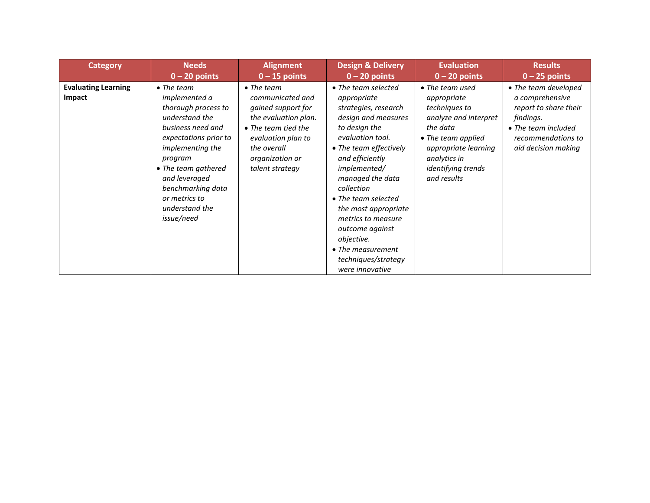| <b>Category</b>                      | <b>Needs</b>                                                                                                                                                                                                                                                                   | <b>Alignment</b>                                                                                                                                                                              | <b>Design &amp; Delivery</b>                                                                                                                                                                                                                                                                                                                                                               | <b>Evaluation</b>                                                                                                                                                                       | <b>Results</b>                                                                                                                                    |
|--------------------------------------|--------------------------------------------------------------------------------------------------------------------------------------------------------------------------------------------------------------------------------------------------------------------------------|-----------------------------------------------------------------------------------------------------------------------------------------------------------------------------------------------|--------------------------------------------------------------------------------------------------------------------------------------------------------------------------------------------------------------------------------------------------------------------------------------------------------------------------------------------------------------------------------------------|-----------------------------------------------------------------------------------------------------------------------------------------------------------------------------------------|---------------------------------------------------------------------------------------------------------------------------------------------------|
|                                      | $0 - 20$ points                                                                                                                                                                                                                                                                | $0 - 15$ points                                                                                                                                                                               | $0 - 20$ points                                                                                                                                                                                                                                                                                                                                                                            | $0 - 20$ points                                                                                                                                                                         | $0 - 25$ points                                                                                                                                   |
| <b>Evaluating Learning</b><br>Impact | $\bullet$ The team<br><i>implemented a</i><br>thorough process to<br>understand the<br>business need and<br>expectations prior to<br>implementing the<br>program<br>• The team gathered<br>and leveraged<br>benchmarking data<br>or metrics to<br>understand the<br>issue/need | $\bullet$ The team<br>communicated and<br><i>gained support for</i><br>the evaluation plan.<br>• The team tied the<br>evaluation plan to<br>the overall<br>organization or<br>talent strategy | • The team selected<br>appropriate<br>strategies, research<br>design and measures<br>to design the<br>evaluation tool.<br>• The team effectively<br>and efficiently<br>implemented/<br>managed the data<br>collection<br>• The team selected<br>the most appropriate<br>metrics to measure<br>outcome against<br>objective.<br>• The measurement<br>techniques/strategy<br>were innovative | • The team used<br>appropriate<br>techniques to<br>analyze and interpret<br>the data<br>• The team applied<br>appropriate learning<br>analytics in<br>identifying trends<br>and results | • The team developed<br>a comprehensive<br>report to share their<br>findings.<br>• The team included<br>recommendations to<br>aid decision making |